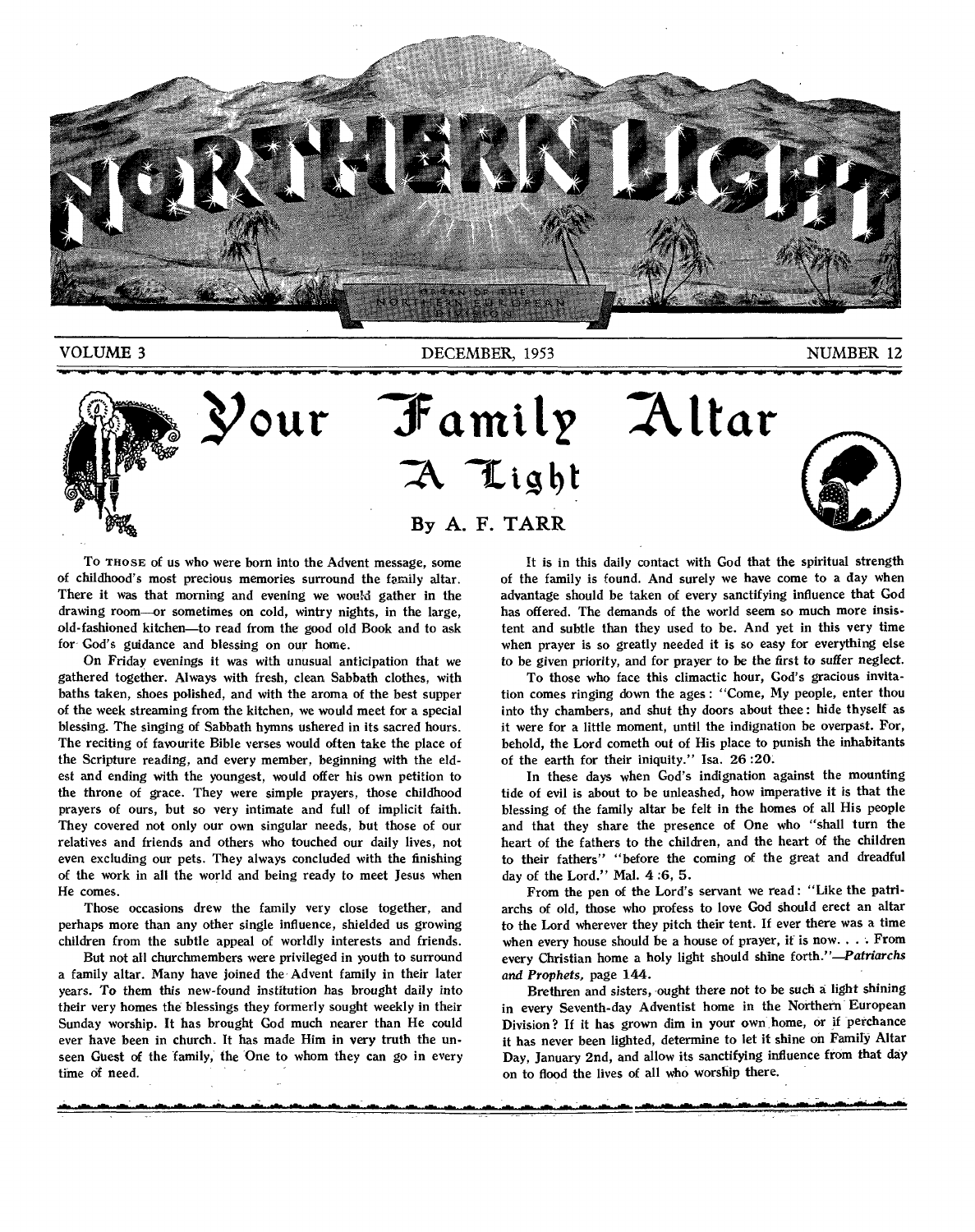

VOLUME 3 NUMBER 12



**our 'family :Altar**  A Light **By A. F. TARR** 



To THOSE of us who were born into the Advent message, some of childhood's most precious memories surround the family altar. There it was that morning and evening we would gather in the drawing room—or sometimes on cold, wintry nights, in the large, old-fashioned kitchen—to read from the good old Book and to ask for God's guidance and blessing on our home.

On Friday *evenings* it was with unusual anticipation that we gathered together. Always with fresh, clean Sabbath clothes, with baths taken, shoes polished, and with the aroma of the best supper of the week streaming from the kitchen, we would meet for a special blessing. The singing of Sabbath hymns ushered in its sacred hours. The reciting of favourite Bible verses would often take the place of the Scripture reading, and every member, beginning with the eldest and ending with the youngest, would offer his own petition to the throne of grace. They were simple prayers, those childhood prayers of ours, but so very intimate and full of implicit faith. They covered not only our own singular needs, but those of our relatives and friends and others who touched our daily lives, not even excluding our pets. They always concluded with the finishing of the work in all the world and being ready to meet Jesus when He comes.

Those occasions drew the family very close together, and perhaps more than any other single influence, shielded us growing children from the subtle appeal of worldly interests and friends.

But not all churchmembers were privileged in youth to surround a family altar. Many have joined the Advent family in their later years. To them this new-found *institution* has *brought* daily into their very homes the blessings they formerly sought weekly in their Sunday worship. It has brought God much nearer than He could ever have been in church. It has made Him in very truth the unseen Guest of the family, the One to whom they can go in every time of need.

It is in this daily contact with God that the spiritual strength of the family is found. And surely we have come to a day when advantage should be taken of every sanctifying influence that God has offered. The demands of the world seem so much more insistent and subtle than they used to be. And yet in this very time when prayer is so greatly needed it is so easy for everything else to be given priority, *and* for prayer to be the *first to* suffer neglect.

To those who face this climactic hour, God's gracious invitation comes ringing down the ages : "Come, My people, enter thou into thy chambers, and shut thy doors about thee : hide thyself as it were for a little moment, until the indignation be overpast. For, behold, the Lord cometh out of His place to punish the inhabitants of the earth for their iniquity." Isa. 26:20:

In these days when God's indignation against the mounting tide of evil is about to be unleashed, how imperative it is that the blessing of the family altar be felt in the homes of all His people and that they share the presence of One who "shall turn the heart of the fathers to the children, and the heart of the children to their fathers" "before the coming of the great and dreadful day of the Lord." Mal. 4:6, 5.

From the pen of the Lord's servant we read : "Like the patriarchs of old, those who profess to love God should erect an altar to the Lord wherever they pitch their tent. If ever there was a time when every house should be a house of prayer, it is now.. . . From every Christian home a holy light should shine forth."—Patriarchs *and Prophets,* page 144.

Brethren and sisters, ought there not to be such a light shining in every Seventh-day Adventist home in the Northern European Division? If it has grown dim in your own, home, or if perchance it has never been lighted, determine to let it shine on Famiry Altar Day, January 2nd, and allow its sanctifying influence from that day on to flood the lives of all who worship there.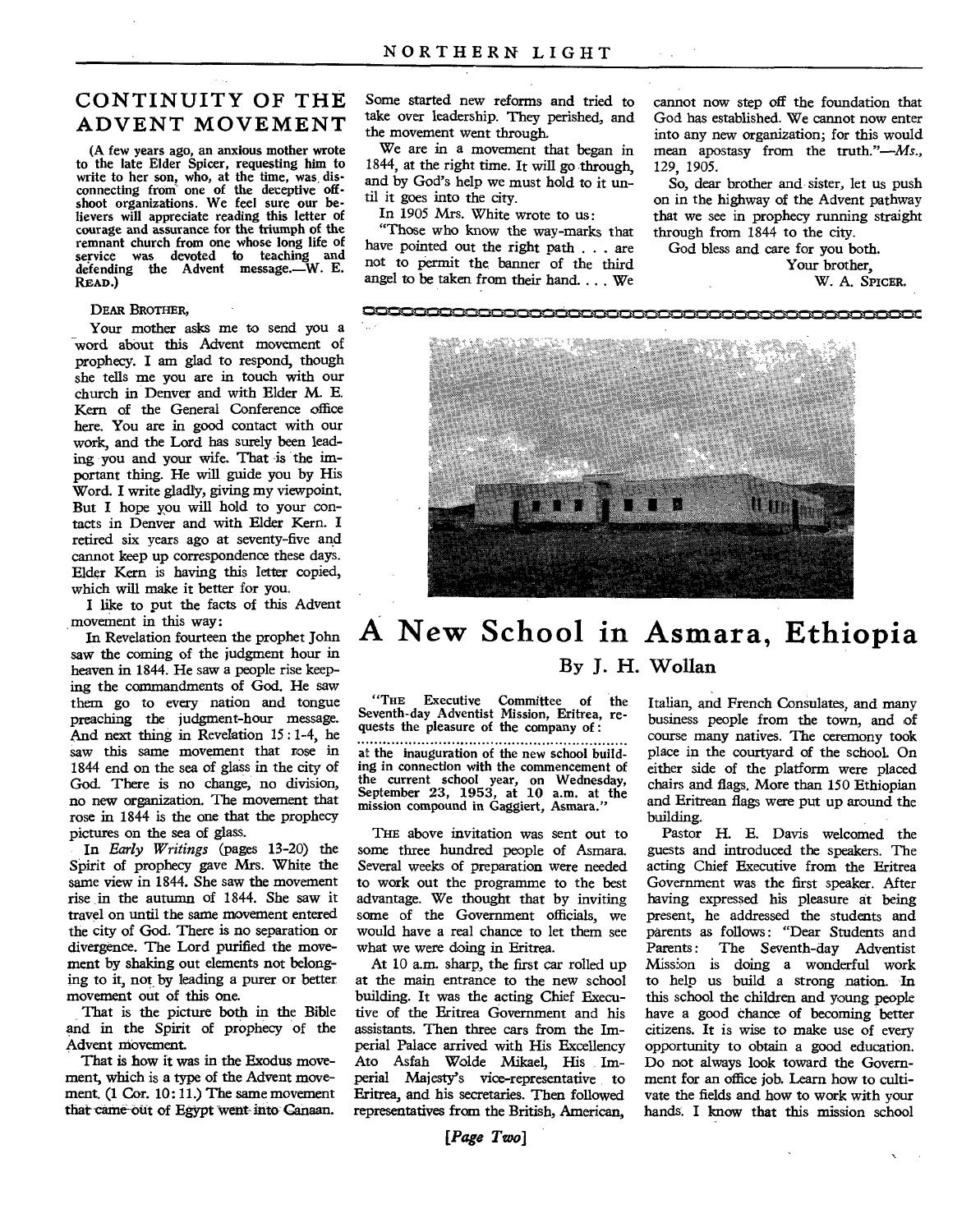# **CONTINUITY OF THE ADVENT MOVEMENT**

(A few years ago, an anxious mother wrote to the late Elder Spicer, requesting him to write to her son, who, at the time, was, dis-connecting from one of the deceptive offshoot organizations. We feel sure our believers will appreciate reading this letter of courage and assurance for the triumph of the remnant church from one whose long life of service was devoted to teaching and defending the Advent message.—W. E. READ.)

**DEAR BROTHER,** 

Your mother asks me to send you a word about this Advent movement of prophecy. I am glad to respond, though she tells me you are in touch with our church in Denver and with Elder M. E. Kern of the General Conference office here. You are in good contact with our work, and the Lord has surely been leading you and your wife. That is the important thing. He will guide you by His Word. I write gladly, giving my viewpoint. But I hope you will hold to your contacts in Denver and with Elder Kern. I retired six years ago at seventy-five and cannot keep up correspondence these days. Elder Kern is having this letter copied, which will make it better for you.

I like to put the facts of this Advent movement in this way:

In Revelation fourteen the prophet John saw the coming of the judgment hour in heaven in 1844. He saw a people rise keeping the commandments of God. He saw them go to every nation and tongue preaching the judgment-hour message. And next thing in Revelation 15 : 1-4, he saw this same movement that rose in 1844 end on the sea of glass in the city of God. There is no change, no division, no new organization. The movement that rose in 1844 is the one that the prophecy pictures on the sea of glass.

In *Early Writings* (pages 13-20) the Spirit of prophecy gave Mrs. White the same view in 1844. She saw the movement rise in the autumn of 1844. She saw it travel on until the same movement entered the city of God. There is no separation or divergence. The Lord purified the movement by shaking out elements not belonging to it, not by leading a purer or better movement out of this one.

That is the picture both in the Bible and in the Spirit of prophecy of the Advent movement.

That is how it was in the Exodus movement, which is a type of the Advent movement. (1 Cor. 10:11.) The same movement that came out of Egypt went-into Canaan.

Some started new reforms and tried to take over leadership. They perished, and the movement went through.

We are in a movement that began in 1844, at the right time. It will go through, and by God's help we must hold to it until it goes into the city.

In 1905 Mrs. White wrote to us:

"Those who know the way-marks that have pointed out the right path . . . are not to permit the banner of the third angel to be taken from their hand. . . . We

cannot now step off the foundation that God has established. We cannot now enter into any new organization; for this would mean apostasy from the truth."—Ms., 129, 1905.

So, dear brother and sister, let us push on in the highway of the Advent pathway that we see in prophecy running straight through from 1844 to the city.

God bless and care for you both.

Your brother, W. A. **SPICER.** 



# **A New School in Asmara, Ethiopia By J. H. Wollan**

"THE Executive Committee of the Seventh-day Adventist Mission, Eritrea, requests the pleasure of the company of :

*at* the inauguration of the new school building in connection with the commencement of the current school year, on Wednesday, September 23, 1953, at 10 a.m. at the mission compound in Gaggiert, Asmara."

**THE** above invitation was sent out to some three hundred people of Asmara. Several weeks of preparation were needed to work out the programme to the best advantage. We thought that by inviting some of the Government officials, we would have a real chance to let them see what we were doing in Eritrea.

At 10 a.m. sharp, the first car rolled up at the main entrance to the new school building. It was the acting Chief Executive of the Eritrea Government and his assistants. Then three cars from the Imperial Palace arrived with His Excellency Ato Asfah Wolde Mikael, His Imperial Majesty's vice-representative to Eritrea, and his secretaries. Then followed representatives from the British, American,

*[Page Two]* 

Italian, and French Consulates, and many business people from the town, and of course many natives. The ceremony took place in the courtyard of the school. On either side of the platform were placed chairs and flags. More than 150 Ethiopian and Eritrean flags were put up around the building.

Pastor H. E. Davis welcomed the guests and introduced the speakers. The acting Chief Executive from the Eritrea Government was the first speaker. After having expressed his pleasure at being present, he addressed the students and parents as follows: "Dear Students and Parents: The Seventh-day Adventist Mission is doing a wonderful work to help us build a strong nation. In this school the children and young people have a good chance of becoming better citizens. It is wise to make use of every opportunity to obtain a good education. Do not always look toward the Government for an office job. Learn how to cultivate the fields and how to work with your hands. I know that this mission school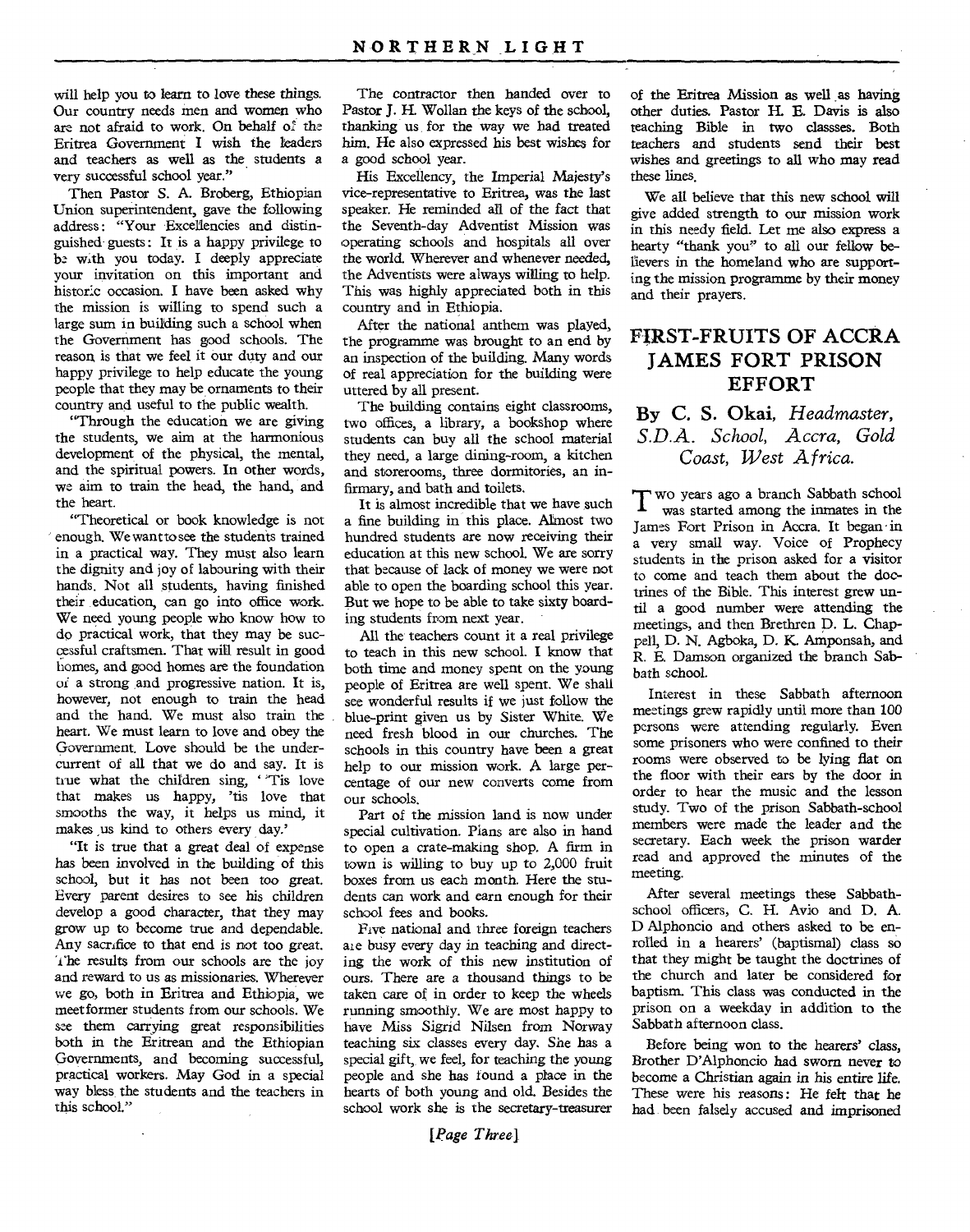will help you to learn to love these things. Our country needs men and women who are not afraid to work. On behalf of the Eritrea Government I wish the leaders and teachers as well as the students a very successful school year."

Then Pastor S. A. Broberg, Ethiopian Union superintendent, gave the following address: "Your Excellencies and distinguished guests: It is a happy privilege to be with you today. I deeply appreciate your invitation on this important and historic occasion. I have been asked why the mission is willing to spend such a large sum in building such a school when the Government has good schools. The reason is that we feel it our duty and our happy privilege to help educate the young people that they may be ornaments to their country and useful to the public wealth.

"Through the education we are giving the students, we aim at the harmonious development of the physical, the mental, and the spiritual powers. In other words, we aim to train the head, the hand, and the heart.

"Theoretical or book knowledge is not enough. We want to see the students trained in a practical way. They must also learn the dignity and joy of labouring with their hands. Not all students, having finished their education, can go into office work. We need young people who know how to do practical work, that they may be successful craftsmen. That will result in good homes, and good homes are the foundation of a strong and progressive nation. It is, however, not enough to train the head and the hand. We must also train the heart. We must learn to love and obey the Government. Love should be the undercurrent of all that we do and say. It is true what the children sing, "Tis love that makes us happy, 'tis love that smooths the way, it helps us mind, it makes us kind to others every day.'

"It is true that a great deal of expense has been *involved* in the building of this school, but it has not been too great. Every parent desires to see his children develop a good character, that they may grow up to become true and dependable. Any sacrifice to that end is not too great. The results from our schools are the joy and reward to us as missionaries. Wherever we go, both in Eritrea and Ethiopia, we meet former students from our schools. We see them carrying great responsibilities both in the Eritrean and the Ethiopian Governments, and becoming successful, practical workers. May God in a special way bless, the students and the teachers in this school."

The contractor then handed over to Pastor J. H. Wollan the keys of the school, thanking us for the way we had treated him. He also expressed his best wishes for a good school year.

His Excellency, the Imperial Majesty's vice-representative to Eritrea, was the last speaker. He reminded all of the fact that the Seventh-day Adventist Mission was operating schools and hospitals all over the world. Wherever and whenever needed, the Adventists were always willing to help. This was highly appreciated both in this country and in Ethiopia.

After the national anthem was played, the programme was brought to an end by an inspection of the building. Many words of real appreciation for the building were uttered by all present.

The building contains eight classrooms, two offices, a library, a bookshop where students can buy all the school material they need, a large dining-room, a kitchen and storerooms, three dormitories, an infirmary, and bath and toilets.

It is almost incredible that we have such a fine building in this place. Almost two hundred students are now receiving their education at this new school. We are sorry that because of lack of money we were not able to open the boarding school this year. But we hope to be able to take sixty boarding students from next year.

All the teachers count it a real privilege to teach in this new school. I know that both time and money spent on the young people of Eritrea are well spent. We shall see wonderful results if we just follow the blue-print given us by Sister White. We need fresh blood in our churches. The schools in this country have been a great help to our mission work. A large percentage of our new converts come from our schools.

Part of the mission land is now under special cultivation. Plans are also in hand to open a crate-making shop. A firm in town is willing to buy up to 2,000 fruit boxes from us each month. Here the students can work and earn enough for their school fees and books.

Five national and three foreign teachers aie busy every day in teaching and directing the work of this new institution of ours. There are a thousand things to be taken care of in order to keep the wheels running smoothly. We are most happy to have Miss *Sigrid* Nilsen from Norway teaching six classes every day. She has a special gift, we feel, for teaching the young people and she has found a place in the hearts of both young and old. Besides the school work she is the secretary-treasurer of the Eritrea Mission as well as having other duties. Pastor H. E. Davis is also teaching Bible in two classses. Both teachers and students send their best wishes and greetings to all who may read these lines.

We all believe that this new school will give added strength to our mission work in this needy field. Let me also express a hearty "thank you" to all our fellow believers in the homeland who are supporting the mission programme by their money and their prayers.

### **FIRST-FRUITS OF ACCRA JAMES FORT PRISON EFFORT**

**By C. S. Okai,** *Headmaster, S.D.A. School, Accra, Gold Coast, West Africa.* 

T wo years ago a branch Sabbath school was started among the inmates in the was started among the inmates in the James Fort Prison in Accra. It began•in a very small way. Voice of Prophecy students in the prison asked for a visitor to come and teach them about the doctrines of the Bible. This interest grew until a good number were attending the meetings, and then Brethren D. L. Chappell, D. N. Agboka, D. K. Amponsah, and R. E. Damson organized the branch Sabbath school.

Interest in these Sabbath afternoon meetings grew rapidly until more than 100 persons were attending regularly. Even some prisoners who were confined to their rooms were observed to be lying flat on the floor with their ears by the door in order to hear the music and the lesson study. Two of the prison Sabbath-school members were made the leader and the secretary. Each week the prison warder read and approved the minutes of the meeting.

After several meetings these Sabbathschool officers, C. H. Avio and D. A. D Alphoncio and others asked to be enrolled in a hearers' (baptismal) class so that they might be taught the doctrines of the church and later be considered for baptism. This class was conducted in the prison on a weekday in addition to the Sabbath afternoon class.

Before being won to the hearers' class, Brother D'Alphoncio had sworn never to become a Christian again *in* his entire life. These were his reasons: He felt that he had been falsely accused and imprisoned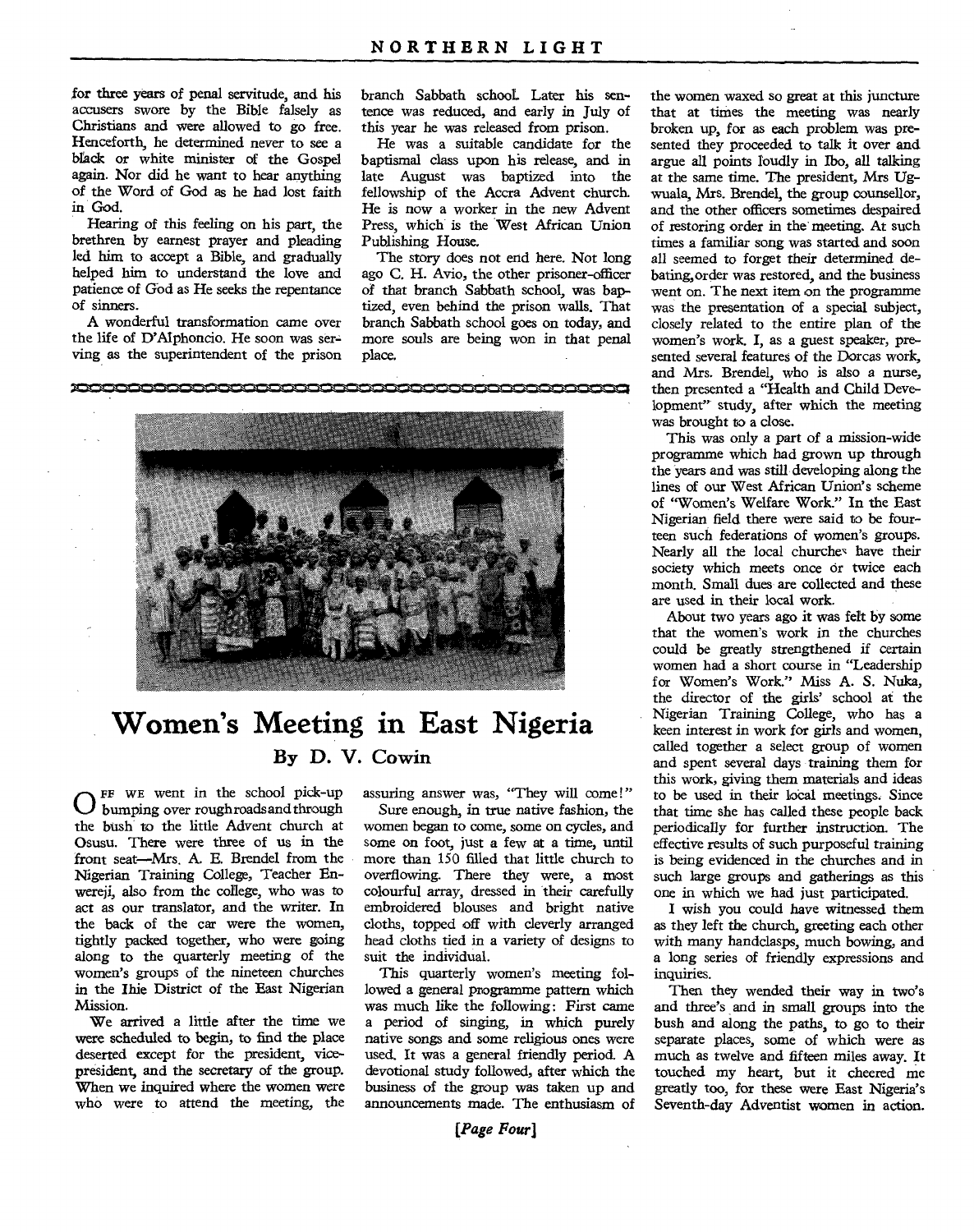for three years of penal servitude, and his accusers swore by the Bible falsely as Christians and were allowed to go free. Henceforth, he determined never to see a black or white minister of the Gospel again. Nor did he want to hear anything of the Word of God as he had lost faith in God.

Hearing of this feeling on his part, the brethren by earnest prayer and pleading led him to accept a Bible, and gradually helped him to understand the love and patience of God as He seeks the repentance of sinners.

A wonderful transformation came over the life of D'Alphoncio. He soon was serving as the superintendent of the prison branch Sabbath school- Later his sentence was reduced, and early in July of this year he was released from prison.

He was a suitable candidate for the baptismal class upon his release, and in late August was baptized into the fellowship of the Accra Advent church. He is now a worker in the new Advent Press, which is the West African Union Publishing House.

The story does not end here. Not long ago C. H. Avio, the other prisoner-officer of that branch Sabbath school, was baptized, even behind the prison walls. That branch Sabbath school goes on today, and more souls are being won in that penal place.



# **Women's Meeting in East Nigeria By D. V. Cowin**

O FF WE went in the school pick-up<br>the bush to the little Advent church at FE WE went in the school pick-up bumping over roughroads and through Osusu. There were three of us in the front seat—Mrs. A. E. Brendel from the Nigerian Training College, Teacher Enwereji, also from the college, who was to act as our translator, and the writer. In the back of the car were the women, tightly packed together, who were going along to the quarterly meeting of the women's groups of the nineteen churches in the Ihie District of the East Nigerian Mission.

We arrived a little after the time we were scheduled to begin, to find the place deserted except for the president, vicepresident, and the secretary of the group. When we inquired where the women were who were to attend the meeting, the

assuring answer was, "They will come!"

Sure enough, in true native fashion, the women began to come, some on cycles, and some on foot, just a few at a time, until more than 150 filled that little church to overflowing. There they were, a most colourful array, dressed in their carefully embroidered blouses and bright native cloths, topped off with cleverly arranged head cloths tied in a variety of designs to suit the individual.

This quarterly women's meeting followed a general programme pattern which was much like the following: First came a period of singing, in which purely native songs and some religious ones were used. It was a general friendly period. A devotional study followed, after which the business of the group was taken up and announcements made. The enthusiasm of

that at times the meeting was nearly broken up, for as each problem was presented they proceeded to talk it over and argue all points loudly in Ibo, all talking at the same time. The president, Mrs Ugwuala, Mrs. Brendel, the group counsellor, and the other officers sometimes despaired of restoring order in the meeting. At such times a familiar song was started and soon all seemed to forget their determined debating,order was restored, and the business went on. The next item on the programme was the presentation of a special subject, closely related to the entire plan of the women's work. I, as a guest speaker, presented several features of the Dorcas work, and Mrs. Brendel, who is also a nurse, then presented a "Health and Child Development" study, after which the meeting was brought to a close.

the women waxed so great at this juncture

This was only a part of a mission-wide programme which had grown up through the years and was still developing along the lines of our West African Union's scheme of "Women's Welfare Work." In the East Nigerian field there were said to be fourteen such federations of women's groups. Nearly all the local churches have their society which meets once or twice each month. Small dues are collected and these are used in their local work.

About two years ago it was felt by some that the women's work in the churches could be greatly strengthened if certain women had a short course in "Leadership for Women's Work." Miss A. S. Nuka, the director of the girls' school at the Nigerian Training College, who has a keen interest in work for girls and women, called together a select group of women and spent several days training them for this work, giving them materials and ideas to be used in their local meetings. Since that time she has called these people back periodically for further instruction. The effective results of such purposeful training is being evidenced in the churches and in such large groups and gatherings as this one in which we had just participated.

I wish you could have witnessed them as they left the church, greeting each other with many handclasps, much bowing, and a long series of friendly expressions and inquiries.

Then they wended their way in two's and three's and in small groups into the bush and along the paths, to go to their separate places, some of which were as much as twelve and fifteen miles away. It touched my heart, but it cheered me greatly too, for these were East Nigeria's Seventh-day Adventist women in action.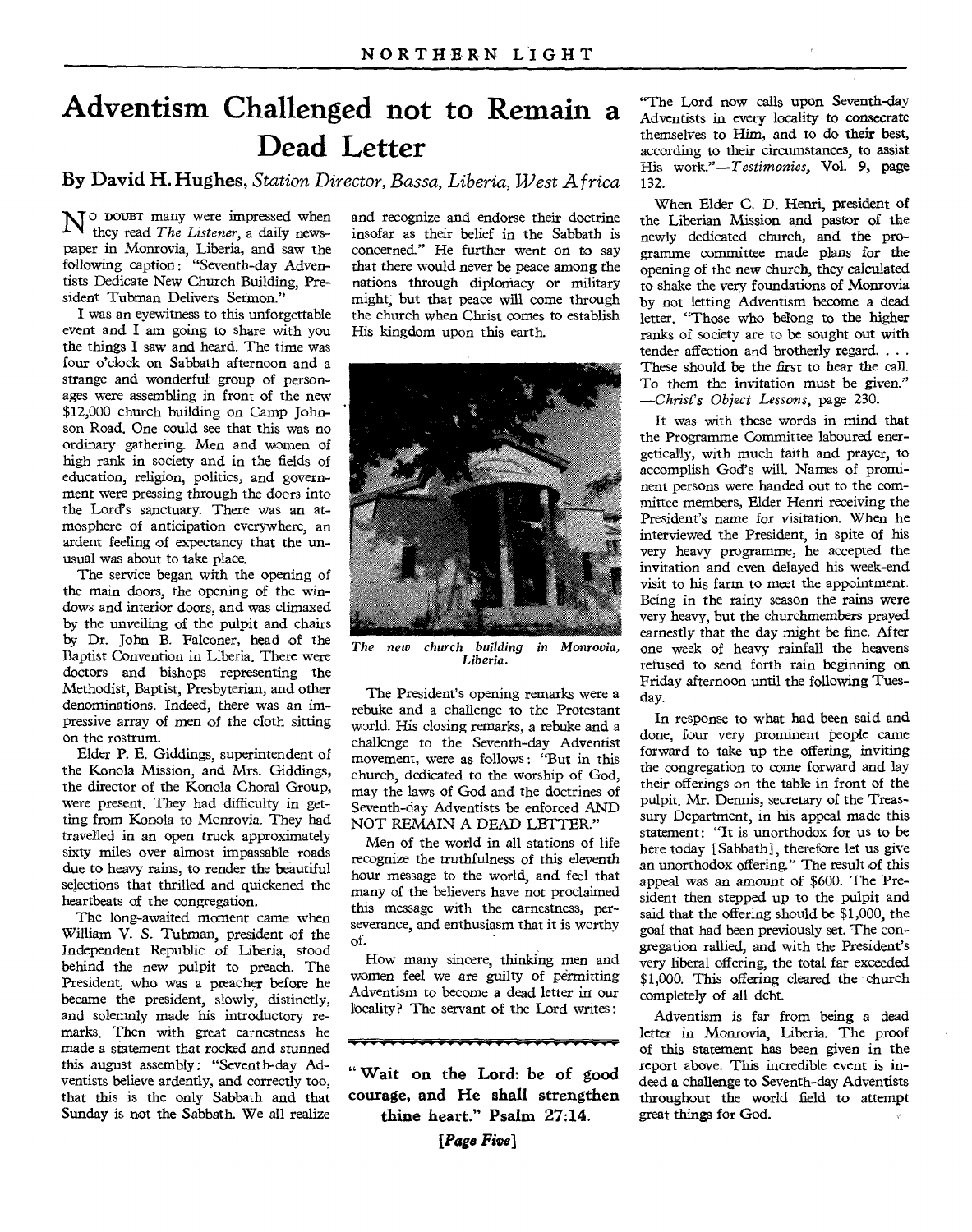# **Adventism Challenged not to Remain a Dead Letter**

**By David H. Hughes,** *Station Director, Bassa, Liberia, West Africa* 

 $N^{\rm o}$  DOUBT many were impressed when they read The Listener, a daily newsthey read *The Listener,* a daily newspaper in Monrovia, Liberia, and saw the following caption: "Seventh-day Adventists Dedicate New Church Building, President Tubman Delivers Sermon."

I was an eyewitness to this unforgettable event and I am going to share with you the things I saw and heard. The time was four o'clock on Sabbath afternoon and a strange and wonderful group of personages were assembling in front of the new \$12,000 church building on Camp Johnson Road. One could see that this was no ordinary gathering. Men and women of high rank in society and in the fields of education, religion, politics, and government were pressing through the doors into the Lord's sanctuary. There was an atmosphere of anticipation everywhere, an ardent feeling of expectancy that the unusual was about to take place.

The service began with the opening of the main doors, the opening of the windows and interior doors, and was climaxed by the unveiling of the pulpit and chairs by Dr. John B. Falconer, head of the Baptist Convention in Liberia. There were doctors and bishops representing the Methodist, Baptist, Presbyterian, and other denominations. Indeed, there was an impressive array of men of the cloth sitting on the rostrum.

Elder P. E. Giddings, superintendent of the Konola Mission, and Mrs. Giddings, the director of the Konola Choral Group, were present. They had difficulty in getting from Konola to Monrovia. They had travelled in an open truck approximately sixty miles over almost impassable roads due to heavy rains, to render the beautiful selections that thrilled and quickened the heartbeats of the congregation.

The long-awaited moment came when William V. S. Tubman, president of the Independent Republic of Liberia, stood behind the new pulpit to preach. The President, who was a preacher before he became the president, slowly, distinctly, and solemnly made his introductory remarks. Then with great earnestness he made a statement that rocked and stunned this august assembly: "Seventh-day Adventists believe ardently, and correctly too, that this is the only Sabbath and that Sunday is not the Sabbath. We all realize

and recognize and endorse their doctrine insofar as their belief in the Sabbath is concerned." He further went on to say that there would never be peace among the nations through diplomacy or military might, but that peace will come through the church when Christ comes to establish His kingdom upon this earth.



*The new church building in Monrovia, Liberia.* 

The President's opening remarks were a rebuke and a challenge to the Protestant world. His closing remarks, a rebuke and a challenge to the Seventh-day Adventist movement, were as follows : "But in this church, dedicated to the worship of God, may the laws of God and the doctrines of Seventh-day Adventists be enforced AND NOT REMAIN A DEAD LETTER."

Men of the world in all stations of life recognize the truthfulness of this eleventh hour message to the world, and feel that many of the believers have not proclaimed this message with the earnestness, perseverance, and enthusiasm that it is worthy of.

How many sincere, thinking men and women feel we are guilty of permitting Adventism to become a dead letter in our locality? The servant of the Lord writes :

<u> Europa estas internacional de la contenentación en la contenenta de la contenenta de la contenenta de la conte</u>

**" Wait on the Lord: be of good courage, and He shall strengthen thine heart." Psalm 27:14.** 

*[Page Five]* 

"The Lord now calls upon Seventh-day Adventists in every locality to consecrate themselves to Him, and to do their best, according to their circumstances, to assist His *work."—Testimonies,* Vol. 9, page 132.

When Elder C. D. Henri, president of the Liberian Mission and pastor of the newly dedicated church, and the programme committee made plans for the opening of the new church, they calculated to shake the very foundations of Monrovia by not letting Adventism become a dead letter. "Those who belong to the higher ranks of society are to be sought out with tender affection and brotherly regard. . . . These should be the first to hear the call. To them the invitation must be given." *—Christ's Object Lessons,* page 230.

It was with these words in mind that the Programme Committee laboured energetically, with much faith and prayer, to accomplish God's will. Names of prominent persons were handed out to the committee members, Elder Henri receiving the President's name for visitation. When he interviewed the President, in spite of his very heavy programme, he accepted the invitation and even delayed his week-end visit to his farm to meet the appointment. Being in the rainy season the rains were very heavy, but the churchmembers prayed earnestly that the day might be fine. After one week of heavy rainfall the heavens refused to send forth rain beginning on Friday afternoon until the following Tuesday.

In response to what had been said and done, four very prominent people came forward to take up the offering, inviting the congregation to come forward and lay their offerings on the table in front of the pulpit. Mr. Dennis, secretary of the Treassury Department, in his appeal made this statement: "It is unorthodox for us to be here today [ Sabbath], therefore let us give an unorthodox offering." The result of this appeal was an amount of \$600. The President then stepped up to the pulpit and said that the offering should be \$1,000, the goal that had been previously set. The congregation rallied, and with the President's very liberal offering, the total far exceeded \$1,000. This offering cleared the church completely of all debt.

Adventism is far from being a dead letter in Monrovia, Liberia. The proof of this statement has been given in the report above. This incredible event is indeed a challenge to Seventh-day Adventists throughout the world field to attempt great things for God.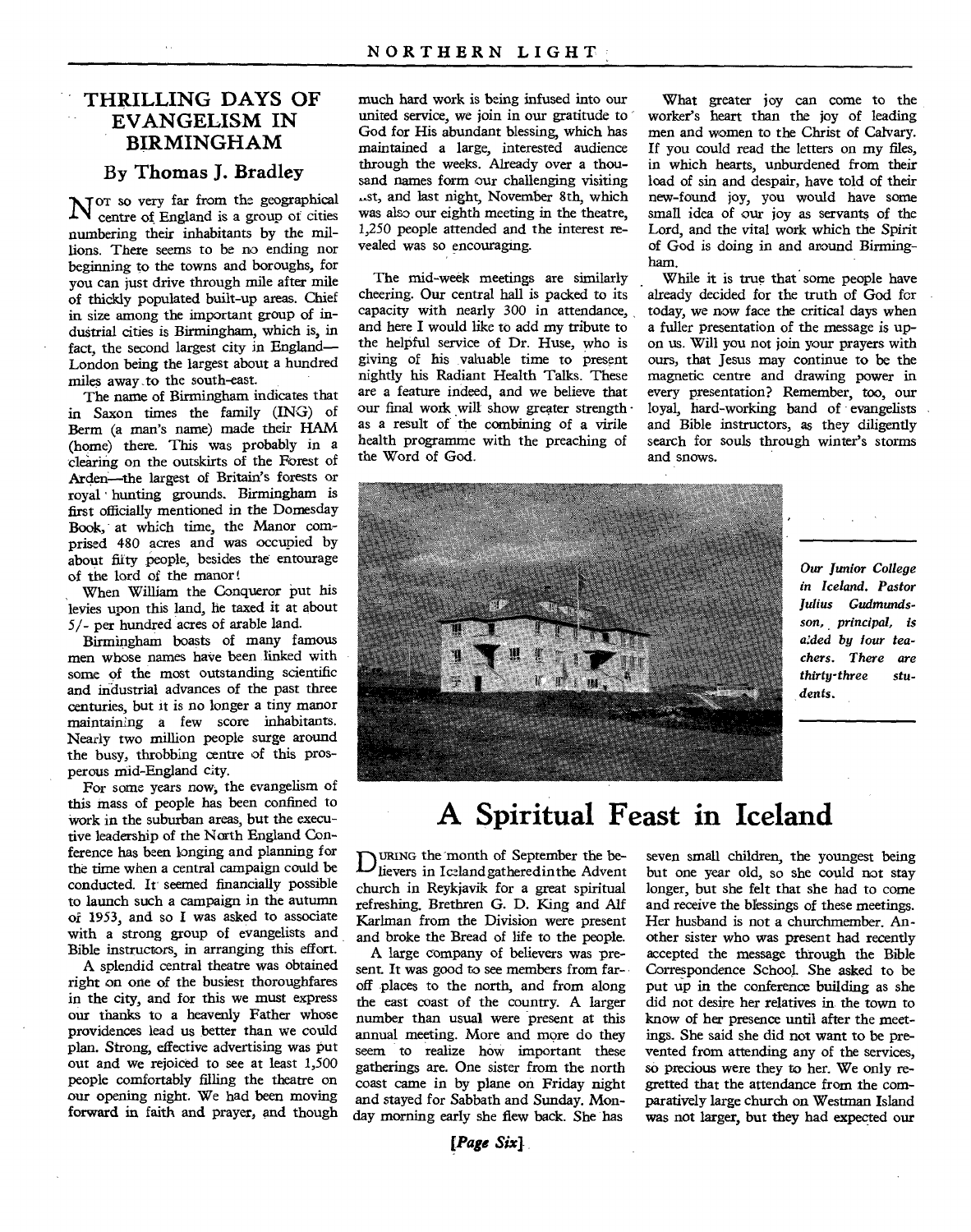### **• THRILLING DAYS OF EVANGELISM IN BIRMINGHAM**

### **By Thomas J. Bradley**

N or so very far from the geographical<br>Centre of England is a group of cities centre of England is a group of cities numbering their inhabitants by the millions. There seems to be no ending nor beginning to the towns and boroughs, for you can just drive through mile after mile of thickly populated built-up areas. Chief in size among the important group of industrial cities is Birmingham, which is, in fact, the second largest city in England— London being the largest about a hundred miles away ,to the south-east.

The name of Birmingham indicates that in Saxon times the family (ING) of Berm (a man's name) made their HAM (home) there. This was probably in a clearing on the outskirts of the Forest of Arden-the largest of Britain's forests or royal hunting grounds. Birmingham is first officially mentioned in the Domesday Book, at which time, the Manor comprised 480 acres and was occupied by about fifty people, besides the entourage of the lord of the manor

When William the Conqueror put his levies upon this land, he taxed it at about 5/- per hundred acres of arable land.

Birmingham boasts of many famous men whose names have been linked with some of the most outstanding scientific and industrial advances of the past three centuries, but it is no longer a tiny manor maintaining a few score inhabitants. Nearly two million people surge around the busy, throbbing centre of this prosperous mid-England city.

For some years now, the evangelism of this mass of people has been confined to work in the suburban areas, but the executive leadership of the North England Conference has been longing and planning for the time when a central campaign could be conducted. It' seemed financially possible to launch such a campaign in the autumn of 1953, and so I was asked to associate with a strong group of evangelists and Bible instructors, in arranging this effort.

A splendid central theatre was obtained right on one of the busiest thoroughfares in the city, and for this we must express our thanks to a heavenly Father whose providences lead us better than we could plan. Strong, effective advertising was put out and we rejoiced to see at least 1,500 people comfortably filling the theatre on our opening night. We had been moving forward in faith and prayer, and though much hard work is being infused into our united service, we join in our gratitude to God for His abundant blessing, which has maintained a large, interested audience through the weeks. Already over a thousand names form our challenging visiting -st, and last night, November 8th, which was also our eighth meeting in the theatre, 1,250 people attended and the interest revealed was so encouraging.

The mid-week meetings are similarly cheering. Our central hall is packed to its capacity with nearly 300 in attendance, and here I would like to add my tribute to the helpful service of Dr. Huse, who is giving of his valuable time to present nightly his Radiant Health Talks. These are a feature indeed, and we believe that our final work will show greater strength · as a result of the combining of a virile health programme with the preaching of the Word of God.

What greater joy can come to the worker's heart than the joy of leading men and women to the Christ of Calvary. If you could read the letters on my files, in which hearts, unburdened from their load of sin and despair, have told of their new-found joy, you would have some small idea of our joy as servants of the Lord, and the vital work which the Spirit of God is doing in and around Birmingham.

While it is true that some people have already decided for the truth of God for today, we now face the critical days when a fuller presentation of the message is upon us. Will you not join your prayers with ours, that Jesus may continue to be the magnetic centre and drawing power in every presentation? Remember, too, our loyal, hard-working band of evangelists and Bible instructors, as they diligently search for souls through winter's storms and snows.



*Our Junior College in Iceland. Pastor Julius Gudmundsson, principal, is aided by lour teachers. There are thirty-three students.* 

# **A Spiritual Feast in Iceland**

MING the month of September the believers in Iceland gatheredin the Advent church in Reykjavik for a great spiritual refreshing. Brethren G. D. King and Alf Karlman from the Division were present and broke the Bread of life to the people.

A large company of believers was present. It was good to see members from faroff places to the north, and from along the east coast of the country. A larger number than usual were present at this annual meeting. More and more do they seem to realize how important these gatherings are. One sister from the north coast came in by plane on Friday night and stayed for Sabbath and Sunday. Monday morning early she flew back. She has

seven small children, the youngest being but one year old, so she could not stay longer, but she felt that she had to come and receive the blessings of these meetings. Her husband is not a churchmember. Another sister who was present had recently accepted the message through the Bible Correspondence School. She asked to be put up in the conference building as she did not desire her relatives in the town to know of her presence until after the meetings. She said she did not want to be prevented from attending any of the services, so precious were they to her. We only regretted that the attendance from the comparatively large church on Westman Island was not larger, but they had expected our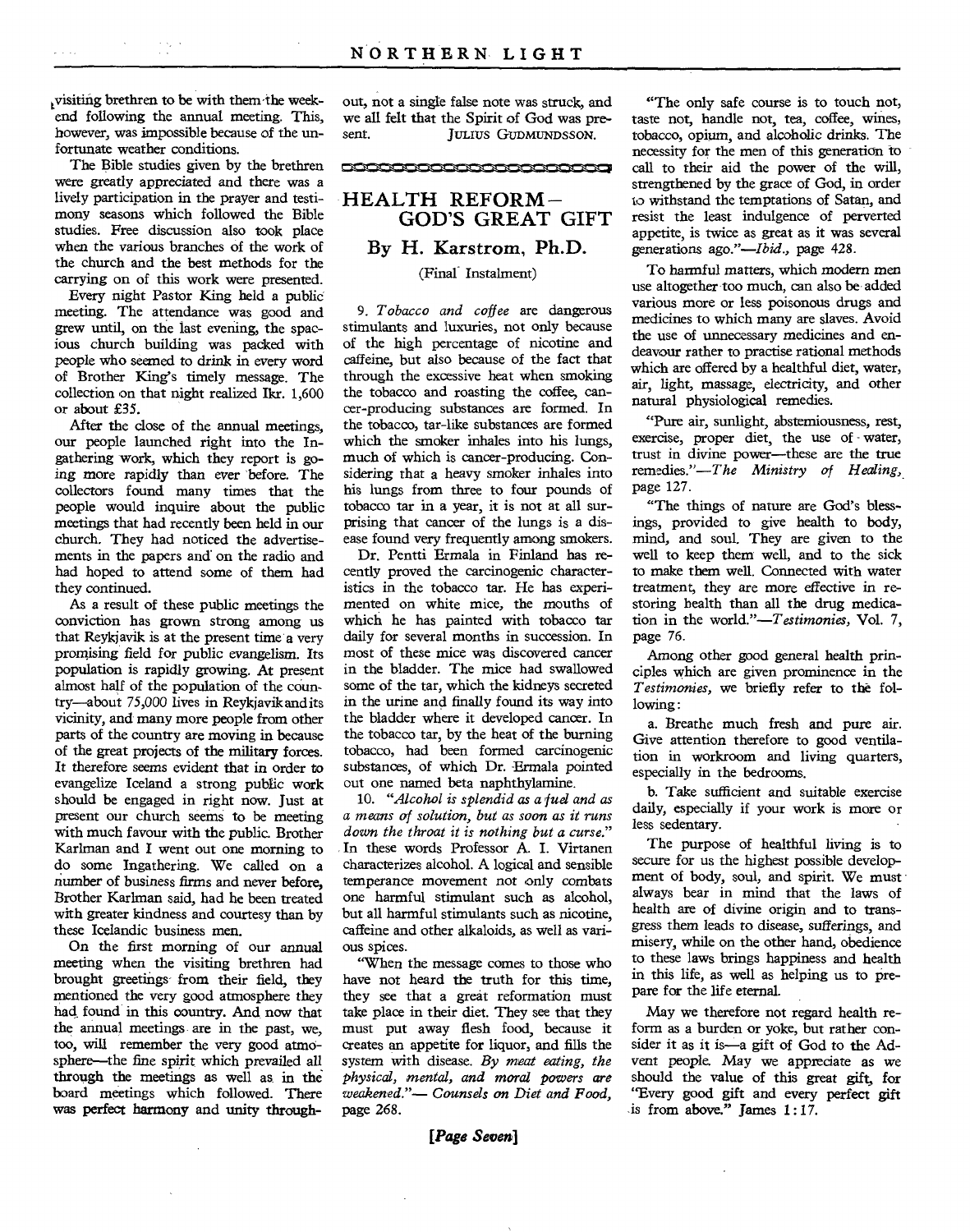visiting brethren to be with them-the weekend following the annual meeting. This, however, was impossible because of the unfortunate weather conditions.

The Bible studies given by the brethren were greatly appreciated and there was a lively participation in the prayer and testimony seasons which followed the Bible studies. Free discussion also took place when the various branches of the work of the church and the best methods for the carrying on of this work were presented.

Every night Pastor King held a public meeting. The attendance was good and grew until, on the last evening, the spacious church building was packed with people who seemed to drink in *every* word of Brother King's timely message. The collection on that night realized Ikr. 1,600 or about £35.

After the close of the annual meetings, our people launched right into the Ingathering work, which they report is going more rapidly than ever before. The collectors found many times that the people would inquire about the public meetings that had recently been held in our church. They had noticed the advertisements in the papers and on the radio and had hoped to attend some of them had they continued.

As a result of these public meetings the conviction has grown strong among us that Reykjavik is at the present time a very promising field for public evangelism. Its population is rapidly growing. At present almost half of the population of the country—about 75,000 lives in Reykjavik and its vicinity, and many more people from other parts of the country are moving in because of the great projects of the military forces. It therefore seems evident that in order to evangelize Iceland a strong public work should be engaged in right now. Just at present our church seems to be meeting with much favour with the public. Brother Karlman and I went out one morning to do some Ingathering. We called on a number of business *firms* and never before, Brother Karlman said, had he been treated with greater kindness and courtesy than by these Icelandic business men.

On the first morning of our annual meeting when the visiting brethren had brought greetings-from their field, they mentioned the very good atmosphere they had found in this country. And now that the annual meetings are in the past, we, too, will remember the very good atmosphere—the fine spirit which prevailed all through the meetings as well as in the board meetings which followed. There was perfect harmony and unity throughout, not a single false note was struck, and we all felt that the Spirit of God was present. JULIUS GUDMUNDS SON.

<u>tranon in 13,13 Oil Nu</u>



#### (Final Instalment)

*9. Tobacco and coffee* are dangerous stimulants and luxuries, not only because of the high percentage of nicotine and caffeine, but also because of the fact that through the excessive heat when smoking the tobacco and roasting the coffee, cancer-producing substances are formed. In the tobacco, tar-like substances are formed which the smoker inhales into his lungs, much of which is cancer-producing. Considering that a heavy smoker inhales into his lungs from three to four pounds of tobacco tar in a year, it is not at all surprising that cancer of the lungs is a disease found very frequently among smokers.

Dr. Pentti Ermala in Finland has recently proved the carcinogenic characteristics in the tobacco tar. He has experimented on white mice, the mouths of which he has painted with tobacco tar daily for several months in succession. In most of these mice was discovered cancer in the bladder. The mice had swallowed some of the tar, which the kidneys secreted in the urine and finally found its way into the bladder where it developed cancer. In the tobacco tar, by the heat of the burning tobacco, had been formed carcinogenic substances, of which Dr. Ermala pointed out one named beta naphthylamine.

*10. "Alcohol is splendid as a fuel and as a means of solution, but as soon as it runs down the throat it is nothing but a curse."*  In these words Professor A. I. Virtanen characterizes alcohol. A logical and sensible temperance movement not only combats one harmful stimulant such as alcohol, but all harmful stimulants such as nicotine, caffeine and other alkaloids, as well as various spices.

"When the message comes to those who have not heard the truth for this time, they see that a great reformation must take place in their diet. They see that they must put away flesh food, because it creates an appetite for liquor, and fills the system with disease. *By meat eating, the physical, mental, and moral powers are weakened."— Counsels on Diet and Food,*  page 268.

*[Page Seven]* 

"The only safe course is to touch not, taste not, handle not, tea, coffee, wines, tobacco, opium, and alcoholic drinks. The necessity for the men of this generation to call to their aid the power of the will, strengthened by the grace of God, in order to withstand the temptations of Satan, and resist the least indulgence of perverted appetite, is twice as great as it was several generations *ago."—Ibid.,* page 428.

To harmful matters, which modern men use altogether too much, can also be added various more or less poisonous drugs and medicines to which many are slaves. Avoid the use of unnecessary medicines and endeavour rather to practise rational methods which are offered by a healthful diet, water, air, light, massage, electricity, and other natural physiological remedies.

"Pure air, sunlight, abstemiousness, rest, exercise, proper diet, the use of - water, trust in divine power—these are the true remedies."—The *Ministry of Healing,*  page 127.

"The things of nature are God's blessings, provided to give health to body, mind, and soul. They are given to the well to keep them well, and to the sick to make them well. Connected with water treatment, they are more effective in *restoring* health than all the drug medication in the world."—T*estimonies,* Vol. 7, page 76.

Among other good general health principles which are given prominence in the *Testimonies,* we briefly refer to the following:

a. Breathe much fresh and pure air. Give attention therefore to good ventilation in workroom and living quarters, especially in the bedrooms.

b. Take sufficient and suitable exercise daily, especially if your work is more or less sedentary.

The purpose of healthful living is to secure for us the highest possible development of body, soul, and spirit. We must always bear in mind that the laws of health are of divine origin and to transgress them leads to disease, sufferings, and misery, while on the other hand, obedience to these laws brings happiness and health in this life, as well as helping us to prepare for the life eternal.

May we therefore not regard health reform as a burden or yoke, but rather consider it as it is—a gift of God to the Advent people. May we appreciate as we should the value of this great gift, for "Every good gift and every perfect gift is from above." James 1 : 17.